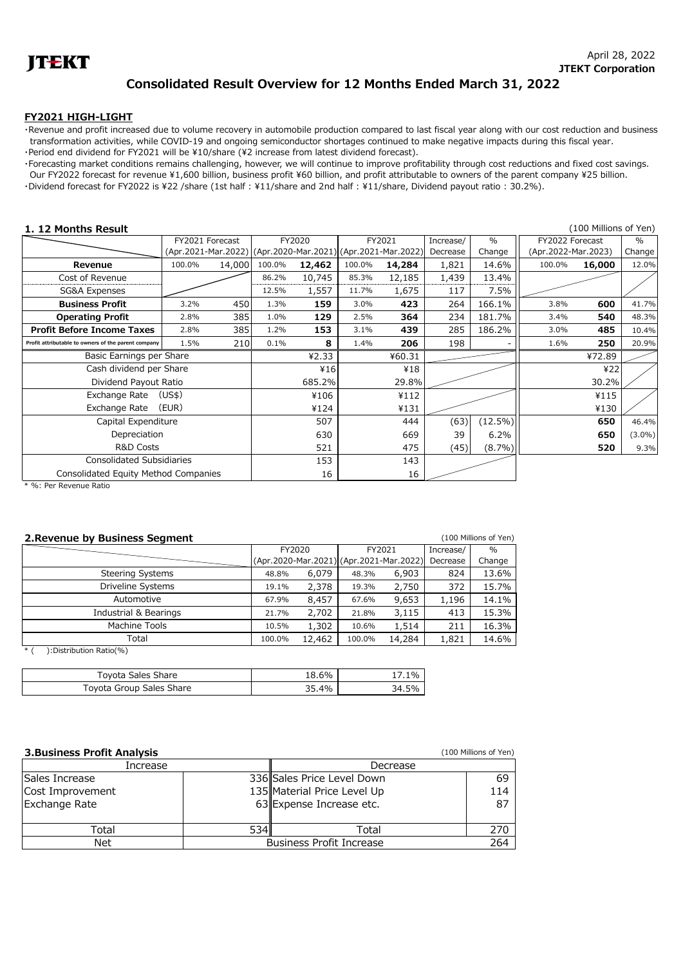

## **Consolidated Result Overview for 12 Months Ended March 31, 2022**

## **FY2021 HIGH-LIGHT**

・Revenue and profit increased due to volume recovery in automobile production compared to last fiscal year along with our cost reduction and business transformation activities, while COVID-19 and ongoing semiconductor shortages continued to make negative impacts during this fiscal year. •Period end dividend for FY2021 will be ¥10/share (¥2 increase from latest dividend forecast).

・Forecasting market conditions remains challenging, however, we will continue to improve profitability through cost reductions and fixed cost savings. Our FY2022 forecast for revenue ¥1,600 billion, business profit ¥60 billion, and profit attributable to owners of the parent company ¥25 billion.

・Dividend forecast for FY2022 is \22 /share (1st half : \11/share and 2nd half : \11/share, Dividend payout ratio : 30.2%).

| 1. 12 Months Result                                 |        |                 |                                                             |        |          |        |                     |            |        | (100 Millions of Yen) |           |
|-----------------------------------------------------|--------|-----------------|-------------------------------------------------------------|--------|----------|--------|---------------------|------------|--------|-----------------------|-----------|
|                                                     |        | FY2021 Forecast |                                                             | FY2020 |          | FY2021 | Increase/           | $\%$       |        | FY2022 Forecast       |           |
|                                                     |        |                 | (Apr.2021-Mar.2022) (Apr.2020-Mar.2021) (Apr.2021-Mar.2022) |        | Decrease | Change | (Apr.2022-Mar.2023) |            | Change |                       |           |
| Revenue                                             | 100.0% | 14,000          | 100.0%                                                      | 12,462 | 100.0%   | 14,284 | 1,821               | 14.6%      | 100.0% | 16,000                | 12.0%     |
| Cost of Revenue                                     |        |                 | 86.2%                                                       | 10,745 | 85.3%    | 12,185 | 1,439               | 13.4%      |        |                       |           |
| SG&A Expenses                                       |        |                 | 12.5%                                                       | 1,557  | 11.7%    | 1,675  | 117                 | 7.5%       |        |                       |           |
| <b>Business Profit</b>                              | 3.2%   | 450             | 1.3%                                                        | 159    | 3.0%     | 423    | 264                 | 166.1%     | 3.8%   | 600                   | 41.7%     |
| <b>Operating Profit</b>                             | 2.8%   | 385             | 1.0%                                                        | 129    | 2.5%     | 364    | 234                 | 181.7%     | 3.4%   | 540                   | 48.3%     |
| <b>Profit Before Income Taxes</b>                   | 2.8%   | 385             | 1.2%                                                        | 153    | 3.1%     | 439    | 285                 | 186.2%     | 3.0%   | 485                   | 10.4%     |
| Profit attributable to owners of the parent company | 1.5%   | 210             | 0.1%                                                        | 8      | 1.4%     | 206    | 198                 |            | 1.6%   | 250                   | 20.9%     |
| Basic Earnings per Share                            |        |                 | 42.33                                                       |        | ¥60.31   |        |                     |            | ¥72.89 |                       |           |
| Cash dividend per Share                             |        |                 |                                                             | 416    |          | ¥18    |                     |            |        | 422                   |           |
| Dividend Payout Ratio                               |        |                 |                                                             | 685.2% |          | 29.8%  |                     |            |        | 30.2%                 |           |
| Exchange Rate                                       | (USS)  |                 |                                                             | ¥106   |          | ¥112   |                     |            |        | ¥115                  |           |
| Exchange Rate                                       | (EUR)  |                 |                                                             | ¥124   |          | ¥131   |                     |            |        | ¥130                  |           |
| Capital Expenditure                                 |        |                 |                                                             | 507    |          | 444    | (63)                | $(12.5\%)$ |        | 650                   | 46.4%     |
| Depreciation                                        |        |                 |                                                             | 630    |          | 669    | 39                  | 6.2%       |        | 650                   | $(3.0\%)$ |
| <b>R&amp;D Costs</b>                                |        |                 |                                                             | 521    |          | 475    | (45)                | $(8.7\%)$  |        | 520                   | 9.3%      |
| <b>Consolidated Subsidiaries</b>                    |        |                 |                                                             | 153    |          | 143    |                     |            |        |                       |           |
| Consolidated Equity Method Companies                |        |                 |                                                             | 16     |          | 16     |                     |            |        |                       |           |

\* %: Per Revenue Ratio

| 2. Revenue by Business Segment<br>(100 Millions of Yen) |                                         |        |        |        |           |               |  |  |
|---------------------------------------------------------|-----------------------------------------|--------|--------|--------|-----------|---------------|--|--|
|                                                         | FY2020                                  |        | FY2021 |        | Increase/ | $\frac{0}{0}$ |  |  |
|                                                         | (Apr.2020-Mar.2021) (Apr.2021-Mar.2022) |        |        |        | Decrease  | Change        |  |  |
| <b>Steering Systems</b>                                 | 48.8%                                   | 6,079  | 48.3%  | 6,903  | 824       | 13.6%         |  |  |
| Driveline Systems                                       | 19.1%                                   | 2,378  | 19.3%  | 2,750  | 372       | 15.7%         |  |  |
| Automotive                                              | 67.9%                                   | 8,457  | 67.6%  | 9,653  | 1,196     | 14.1%         |  |  |
| Industrial & Bearings                                   | 21.7%                                   | 2,702  | 21.8%  | 3,115  | 413       | 15.3%         |  |  |
| Machine Tools                                           | 10.5%                                   | 1,302  | 10.6%  | 1,514  | 211       | 16.3%         |  |  |
| Total                                                   | 100.0%                                  | 12,462 | 100.0% | 14,284 | 1,821     | 14.6%         |  |  |
| $*1$<br>:Distribution Ratio(%)                          |                                         |        |        |        |           |               |  |  |

| Toyota Sales Share       | $18.6\%$ | 1%    |
|--------------------------|----------|-------|
| Toyota Group Sales Share | 35.4%    | 34.5% |

| <b>3. Business Profit Analysis</b> |                                        |                             | (100 Millions of Yen) |  |  |
|------------------------------------|----------------------------------------|-----------------------------|-----------------------|--|--|
| Increase                           |                                        | Decrease                    |                       |  |  |
| Sales Increase                     |                                        | 336 Sales Price Level Down  | -69                   |  |  |
| Cost Improvement                   |                                        | 135 Material Price Level Up | 114                   |  |  |
| <b>Exchange Rate</b>               |                                        | 63 Expense Increase etc.    | 87                    |  |  |
|                                    |                                        |                             |                       |  |  |
| Total                              | 534l                                   | Total                       | 270                   |  |  |
| Net                                | <b>Business Profit Increase</b><br>264 |                             |                       |  |  |